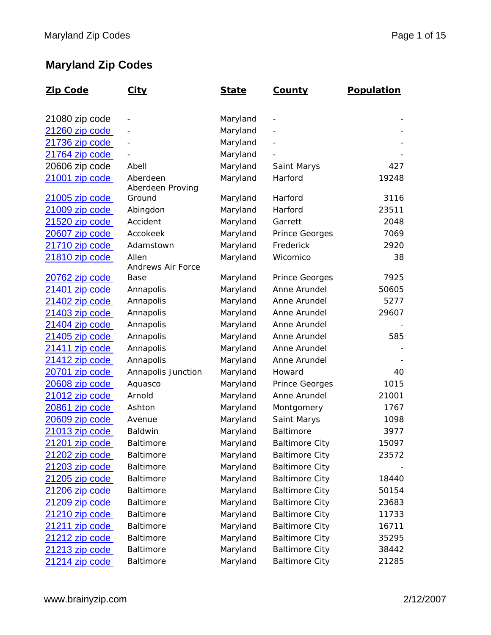## **Maryland Zip Codes**

| Zip Code               | <u>City</u>        | <b>State</b> | <u>County</u>         | Population |
|------------------------|--------------------|--------------|-----------------------|------------|
|                        |                    |              |                       |            |
| 21080 zip code         |                    | Maryland     |                       |            |
| 21260 zip code         |                    | Maryland     |                       |            |
| <u>21736 zip code</u>  |                    | Maryland     |                       |            |
| 21764 zip code         |                    | Maryland     |                       |            |
| 20606 zip code         | Abell              | Maryland     | Saint Marys           | 427        |
| 21001 zip code         | Aberdeen           | Maryland     | Harford               | 19248      |
|                        | Aberdeen Proving   |              |                       |            |
| 21005 zip code         | Ground             | Maryland     | Harford               | 3116       |
| 21009 zip code         | Abingdon           | Maryland     | Harford               | 23511      |
| 21520 zip code         | Accident           | Maryland     | Garrett               | 2048       |
| <u>20607 zip code </u> | Accokeek           | Maryland     | <b>Prince Georges</b> | 7069       |
| 21710 zip code         | Adamstown          | Maryland     | Frederick             | 2920       |
| <u>21810 zip code</u>  | Allen              | Maryland     | Wicomico              | 38         |
|                        | Andrews Air Force  |              |                       |            |
| <u>20762 zip code</u>  | Base               | Maryland     | Prince Georges        | 7925       |
| 21401 zip code         | Annapolis          | Maryland     | Anne Arundel          | 50605      |
| 21402 zip code         | Annapolis          | Maryland     | Anne Arundel          | 5277       |
| 21403 zip code         | Annapolis          | Maryland     | Anne Arundel          | 29607      |
| 21404 zip code         | Annapolis          | Maryland     | Anne Arundel          |            |
| 21405 zip code         | Annapolis          | Maryland     | Anne Arundel          | 585        |
| 21411 zip code         | Annapolis          | Maryland     | Anne Arundel          |            |
| 21412 zip code         | Annapolis          | Maryland     | Anne Arundel          |            |
| 20701 zip code         | Annapolis Junction | Maryland     | Howard                | 40         |
| 20608 zip code         | Aquasco            | Maryland     | Prince Georges        | 1015       |
| 21012 zip code         | Arnold             | Maryland     | Anne Arundel          | 21001      |
| 20861 zip code         | Ashton             | Maryland     | Montgomery            | 1767       |
| 20609 zip code         | Avenue             | Maryland     | Saint Marys           | 1098       |
| 21013 zip code         | Baldwin            | Maryland     | <b>Baltimore</b>      | 3977       |
| 21201 zip code         | <b>Baltimore</b>   | Maryland     | <b>Baltimore City</b> | 15097      |
| 21202 zip code         | <b>Baltimore</b>   | Maryland     | <b>Baltimore City</b> | 23572      |
| 21203 zip code         | Baltimore          | Maryland     | <b>Baltimore City</b> |            |
| <u>21205 zip code</u>  | Baltimore          | Maryland     | <b>Baltimore City</b> | 18440      |
| 21206 zip code         | Baltimore          | Maryland     | <b>Baltimore City</b> | 50154      |
| 21209 zip code         | Baltimore          | Maryland     | <b>Baltimore City</b> | 23683      |
| 21210 zip code         | Baltimore          | Maryland     | <b>Baltimore City</b> | 11733      |
| 21211 zip code         | Baltimore          | Maryland     | <b>Baltimore City</b> | 16711      |
| 21212 zip code         | Baltimore          | Maryland     | <b>Baltimore City</b> | 35295      |
| 21213 zip code         | Baltimore          | Maryland     | <b>Baltimore City</b> | 38442      |
| 21214 zip code         | Baltimore          | Maryland     | <b>Baltimore City</b> | 21285      |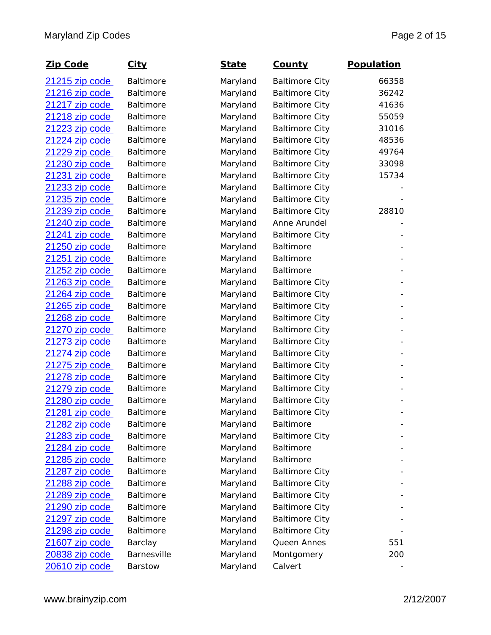| Zip Code               | <u>City</u>      | <b>State</b> | <u>County</u>         | <b>Population</b> |
|------------------------|------------------|--------------|-----------------------|-------------------|
| <u>21215 zip code</u>  | Baltimore        | Maryland     | <b>Baltimore City</b> | 66358             |
| 21216 zip code         | Baltimore        | Maryland     | <b>Baltimore City</b> | 36242             |
| 21217 zip code         | Baltimore        | Maryland     | <b>Baltimore City</b> | 41636             |
| 21218 zip code         | Baltimore        | Maryland     | <b>Baltimore City</b> | 55059             |
| 21223 zip code         | Baltimore        | Maryland     | <b>Baltimore City</b> | 31016             |
| 21224 zip code         | Baltimore        | Maryland     | <b>Baltimore City</b> | 48536             |
| 21229 zip code         | Baltimore        | Maryland     | <b>Baltimore City</b> | 49764             |
| 21230 zip code         | Baltimore        | Maryland     | <b>Baltimore City</b> | 33098             |
| 21231 zip code         | Baltimore        | Maryland     | <b>Baltimore City</b> | 15734             |
| 21233 zip code         | Baltimore        | Maryland     | <b>Baltimore City</b> |                   |
| 21235 zip code         | Baltimore        | Maryland     | <b>Baltimore City</b> |                   |
| 21239 zip code         | Baltimore        | Maryland     | <b>Baltimore City</b> | 28810             |
| 21240 zip code         | Baltimore        | Maryland     | Anne Arundel          |                   |
| 21241 zip code         | Baltimore        | Maryland     | <b>Baltimore City</b> |                   |
| 21250 zip code         | Baltimore        | Maryland     | <b>Baltimore</b>      |                   |
| 21251 zip code         | Baltimore        | Maryland     | Baltimore             |                   |
| 21252 zip code         | <b>Baltimore</b> | Maryland     | Baltimore             |                   |
| 21263 zip code         | Baltimore        | Maryland     | <b>Baltimore City</b> |                   |
| 21264 zip code         | Baltimore        | Maryland     | <b>Baltimore City</b> |                   |
| 21265 zip code         | Baltimore        | Maryland     | <b>Baltimore City</b> |                   |
| 21268 zip code         | Baltimore        | Maryland     | <b>Baltimore City</b> |                   |
| <u>21270 zip code_</u> | Baltimore        | Maryland     | <b>Baltimore City</b> |                   |
| 21273 zip code         | Baltimore        | Maryland     | <b>Baltimore City</b> |                   |
| <u>21274 zip code</u>  | Baltimore        | Maryland     | <b>Baltimore City</b> |                   |
| <u>21275 zip code</u>  | Baltimore        | Maryland     | <b>Baltimore City</b> |                   |
| 21278 zip code         | Baltimore        | Maryland     | <b>Baltimore City</b> |                   |
| 21279 zip code         | Baltimore        | Maryland     | <b>Baltimore City</b> |                   |
| 21280 zip code         | Baltimore        | Maryland     | <b>Baltimore City</b> |                   |
| 21281 zip code         | Baltimore        | Maryland     | <b>Baltimore City</b> |                   |
| 21282 zip code         | Baltimore        | Maryland     | Baltimore             |                   |
| 21283 zip code         | Baltimore        | Maryland     | <b>Baltimore City</b> |                   |
| 21284 zip code         | Baltimore        | Maryland     | <b>Baltimore</b>      |                   |
| 21285 zip code         | Baltimore        | Maryland     | Baltimore             |                   |
| 21287 zip code         | Baltimore        | Maryland     | <b>Baltimore City</b> |                   |
| 21288 zip code         | Baltimore        | Maryland     | <b>Baltimore City</b> |                   |
| <u>21289 zip code</u>  | Baltimore        | Maryland     | <b>Baltimore City</b> |                   |
| <u>21290 zip code</u>  | Baltimore        | Maryland     | <b>Baltimore City</b> |                   |
| 21297 zip code         | Baltimore        | Maryland     | <b>Baltimore City</b> |                   |
| <u>21298 zip code</u>  | Baltimore        | Maryland     | <b>Baltimore City</b> |                   |
| 21607 zip code         | Barclay          | Maryland     | Queen Annes           | 551               |
| 20838 zip code         | Barnesville      | Maryland     | Montgomery            | 200               |
| 20610 zip code         | Barstow          | Maryland     | Calvert               |                   |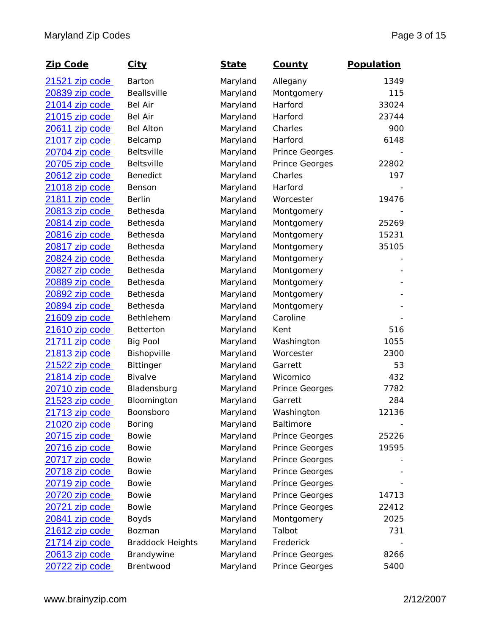| Zip Code               | <b>City</b>             | <b>State</b> | <b>County</b>         | Population |
|------------------------|-------------------------|--------------|-----------------------|------------|
| 21521 zip code         | Barton                  | Maryland     | Allegany              | 1349       |
| 20839 zip code         | Beallsville             | Maryland     | Montgomery            | 115        |
| 21014 zip code         | Bel Air                 | Maryland     | Harford               | 33024      |
| 21015 zip code         | Bel Air                 | Maryland     | Harford               | 23744      |
| 20611 zip code         | <b>Bel Alton</b>        | Maryland     | Charles               | 900        |
| 21017 zip code         | Belcamp                 | Maryland     | Harford               | 6148       |
| 20704 zip code         | <b>Beltsville</b>       | Maryland     | <b>Prince Georges</b> |            |
| 20705 zip code         | Beltsville              | Maryland     | Prince Georges        | 22802      |
| 20612 zip code         | Benedict                | Maryland     | Charles               | 197        |
| 21018 zip code         | Benson                  | Maryland     | Harford               |            |
| 21811 zip code         | <b>Berlin</b>           | Maryland     | Worcester             | 19476      |
| 20813 zip code         | Bethesda                | Maryland     | Montgomery            |            |
| 20814 zip code         | Bethesda                | Maryland     | Montgomery            | 25269      |
| 20816 zip code         | Bethesda                | Maryland     | Montgomery            | 15231      |
| 20817 zip code         | Bethesda                | Maryland     | Montgomery            | 35105      |
| 20824 zip code         | Bethesda                | Maryland     | Montgomery            |            |
| 20827 zip code         | Bethesda                | Maryland     | Montgomery            |            |
| 20889 zip code         | Bethesda                | Maryland     | Montgomery            |            |
| 20892 zip code         | Bethesda                | Maryland     | Montgomery            |            |
| 20894 zip code         | Bethesda                | Maryland     | Montgomery            |            |
| 21609 zip code         | Bethlehem               | Maryland     | Caroline              |            |
| <u>21610 zip code_</u> | Betterton               | Maryland     | Kent                  | 516        |
| 21711 zip code         | <b>Big Pool</b>         | Maryland     | Washington            | 1055       |
| 21813 zip code         | Bishopville             | Maryland     | Worcester             | 2300       |
| 21522 zip code         | <b>Bittinger</b>        | Maryland     | Garrett               | 53         |
| 21814 zip code         | Bivalve                 | Maryland     | Wicomico              | 432        |
| 20710 zip code         | Bladensburg             | Maryland     | Prince Georges        | 7782       |
| 21523 zip code         | Bloomington             | Maryland     | Garrett               | 284        |
| 21713 zip code         | Boonsboro               | Maryland     | Washington            | 12136      |
| <u>21020 zip code</u>  | <b>Boring</b>           | Maryland     | <b>Baltimore</b>      |            |
| 20715 zip code         | <b>Bowie</b>            | Maryland     | Prince Georges        | 25226      |
| <u>20716 zip code</u>  | <b>Bowie</b>            | Maryland     | Prince Georges        | 19595      |
| <u>20717 zip code_</u> | <b>Bowie</b>            | Maryland     | Prince Georges        |            |
| <u>20718 zip code</u>  | <b>Bowie</b>            | Maryland     | Prince Georges        |            |
| 20719 zip code         | <b>Bowie</b>            | Maryland     | Prince Georges        |            |
| <u>20720 zip code </u> | <b>Bowie</b>            | Maryland     | Prince Georges        | 14713      |
| 20721 zip code         | <b>Bowie</b>            | Maryland     | Prince Georges        | 22412      |
| 20841 zip code         | Boyds                   | Maryland     | Montgomery            | 2025       |
| <u>21612 zip code </u> | Bozman                  | Maryland     | Talbot                | 731        |
| 21714 zip code         | <b>Braddock Heights</b> | Maryland     | Frederick             |            |
| <u>20613 zip code </u> | Brandywine              | Maryland     | Prince Georges        | 8266       |
| 20722 zip code         | Brentwood               | Maryland     | Prince Georges        | 5400       |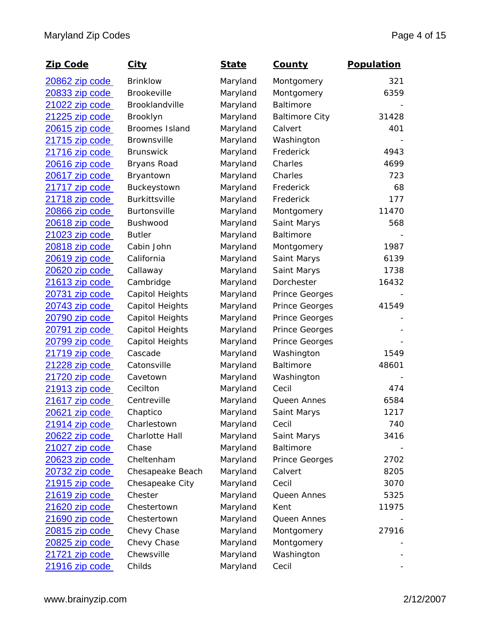| Zip Code               | <b>City</b>           | <u>State</u> | <u>County</u>         | <b>Population</b> |
|------------------------|-----------------------|--------------|-----------------------|-------------------|
| 20862 zip code         | <b>Brinklow</b>       | Maryland     | Montgomery            | 321               |
| 20833 zip code         | <b>Brookeville</b>    | Maryland     | Montgomery            | 6359              |
| 21022 zip code         | Brooklandville        | Maryland     | Baltimore             |                   |
| 21225 zip code         | Brooklyn              | Maryland     | <b>Baltimore City</b> | 31428             |
| 20615 zip code         | <b>Broomes Island</b> | Maryland     | Calvert               | 401               |
| 21715 zip code         | <b>Brownsville</b>    | Maryland     | Washington            |                   |
| 21716 zip code         | <b>Brunswick</b>      | Maryland     | Frederick             | 4943              |
| 20616 zip code         | Bryans Road           | Maryland     | Charles               | 4699              |
| 20617 zip code         | Bryantown             | Maryland     | Charles               | 723               |
| 21717 zip code         | Buckeystown           | Maryland     | Frederick             | 68                |
| 21718 zip code         | <b>Burkittsville</b>  | Maryland     | Frederick             | 177               |
| 20866 zip code         | Burtonsville          | Maryland     | Montgomery            | 11470             |
| 20618 zip code         | Bushwood              | Maryland     | Saint Marys           | 568               |
| 21023 zip code         | <b>Butler</b>         | Maryland     | <b>Baltimore</b>      |                   |
| 20818 zip code         | Cabin John            | Maryland     | Montgomery            | 1987              |
| 20619 zip code         | California            | Maryland     | Saint Marys           | 6139              |
| 20620 zip code         | Callaway              | Maryland     | Saint Marys           | 1738              |
| 21613 zip code         | Cambridge             | Maryland     | Dorchester            | 16432             |
| 20731 zip code         | Capitol Heights       | Maryland     | Prince Georges        |                   |
| 20743 zip code         | Capitol Heights       | Maryland     | Prince Georges        | 41549             |
| 20790 zip code         | Capitol Heights       | Maryland     | Prince Georges        |                   |
| 20791 zip code         | Capitol Heights       | Maryland     | Prince Georges        |                   |
| 20799 zip code         | Capitol Heights       | Maryland     | Prince Georges        |                   |
| 21719 zip code         | Cascade               | Maryland     | Washington            | 1549              |
| <u>21228 zip code</u>  | Catonsville           | Maryland     | <b>Baltimore</b>      | 48601             |
| 21720 zip code         | Cavetown              | Maryland     | Washington            |                   |
| 21913 zip code         | Cecilton              | Maryland     | Cecil                 | 474               |
| 21617 zip code         | Centreville           | Maryland     | Queen Annes           | 6584              |
| 20621 zip code         | Chaptico              | Maryland     | Saint Marys           | 1217              |
| <u>21914 zip code</u>  | Charlestown           | Maryland     | Cecil                 | 740               |
| 20622 zip code         | Charlotte Hall        | Maryland     | Saint Marys           | 3416              |
| 21027 zip code         | Chase                 | Maryland     | Baltimore             |                   |
| 20623 zip code         | Cheltenham            | Maryland     | Prince Georges        | 2702              |
| 20732 zip code         | Chesapeake Beach      | Maryland     | Calvert               | 8205              |
| 21915 zip code         | Chesapeake City       | Maryland     | Cecil                 | 3070              |
| <u>21619 zip code_</u> | Chester               | Maryland     | Queen Annes           | 5325              |
| <u>21620 zip code</u>  | Chestertown           | Maryland     | Kent                  | 11975             |
| 21690 zip code         | Chestertown           | Maryland     | Queen Annes           |                   |
| <u>20815 zip code </u> | Chevy Chase           | Maryland     | Montgomery            | 27916             |
| 20825 zip code         | Chevy Chase           | Maryland     | Montgomery            |                   |
| <u>21721 zip code</u>  | Chewsville            | Maryland     | Washington            |                   |
| 21916 zip code         | Childs                | Maryland     | Cecil                 |                   |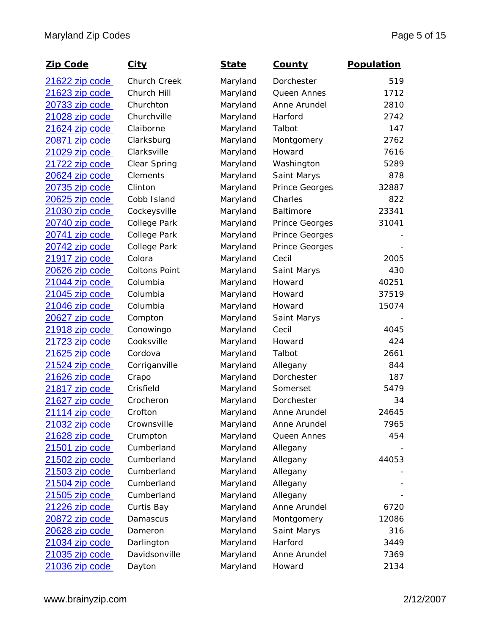| Zip Code               | <u>City</u>          | <b>State</b> | <b>County</b>         | Population |
|------------------------|----------------------|--------------|-----------------------|------------|
| 21622 zip code         | <b>Church Creek</b>  | Maryland     | Dorchester            | 519        |
| 21623 zip code         | Church Hill          | Maryland     | Queen Annes           | 1712       |
| 20733 zip code         | Churchton            | Maryland     | Anne Arundel          | 2810       |
| 21028 zip code         | Churchville          | Maryland     | Harford               | 2742       |
| 21624 zip code         | Claiborne            | Maryland     | Talbot                | 147        |
| 20871 zip code         | Clarksburg           | Maryland     | Montgomery            | 2762       |
| 21029 zip code         | Clarksville          | Maryland     | Howard                | 7616       |
| <u>21722 zip code</u>  | Clear Spring         | Maryland     | Washington            | 5289       |
| 20624 zip code         | <b>Clements</b>      | Maryland     | Saint Marys           | 878        |
| 20735 zip code         | Clinton              | Maryland     | Prince Georges        | 32887      |
| 20625 zip code         | Cobb Island          | Maryland     | Charles               | 822        |
| 21030 zip code         | Cockeysville         | Maryland     | Baltimore             | 23341      |
| 20740 zip code         | College Park         | Maryland     | <b>Prince Georges</b> | 31041      |
| 20741 zip code         | College Park         | Maryland     | <b>Prince Georges</b> |            |
| 20742 zip code         | College Park         | Maryland     | <b>Prince Georges</b> |            |
| 21917 zip code         | Colora               | Maryland     | Cecil                 | 2005       |
| 20626 zip code         | <b>Coltons Point</b> | Maryland     | Saint Marys           | 430        |
| 21044 zip code         | Columbia             | Maryland     | Howard                | 40251      |
| 21045 zip code         | Columbia             | Maryland     | Howard                | 37519      |
| 21046 zip code         | Columbia             | Maryland     | Howard                | 15074      |
| 20627 zip code         | Compton              | Maryland     | Saint Marys           |            |
| 21918 zip code         | Conowingo            | Maryland     | Cecil                 | 4045       |
| 21723 zip code         | Cooksville           | Maryland     | Howard                | 424        |
| 21625 zip code         | Cordova              | Maryland     | Talbot                | 2661       |
| <u>21524 zip code</u>  | Corriganville        | Maryland     | Allegany              | 844        |
| 21626 zip code         | Crapo                | Maryland     | Dorchester            | 187        |
| 21817 zip code         | Crisfield            | Maryland     | Somerset              | 5479       |
| 21627 zip code         | Crocheron            | Maryland     | Dorchester            | 34         |
| 21114 zip code         | Crofton              | Maryland     | Anne Arundel          | 24645      |
| 21032 zip code         | Crownsville          | Maryland     | Anne Arundel          | 7965       |
| 21628 zip code         | Crumpton             | Maryland     | Queen Annes           | 454        |
| 21501 zip code         | Cumberland           | Maryland     | Allegany              |            |
| 21502 zip code         | Cumberland           | Maryland     | Allegany              | 44053      |
| <u>21503 zip code</u>  | Cumberland           | Maryland     | Allegany              |            |
| 21504 zip code         | Cumberland           | Maryland     | Allegany              |            |
| <u>21505 zip code</u>  | Cumberland           | Maryland     | Allegany              |            |
| 21226 zip code         | Curtis Bay           | Maryland     | Anne Arundel          | 6720       |
| 20872 zip code         | Damascus             | Maryland     | Montgomery            | 12086      |
| <u>20628 zip code </u> | Dameron              | Maryland     | Saint Marys           | 316        |
| 21034 zip code         | Darlington           | Maryland     | Harford               | 3449       |
| 21035 zip code         | Davidsonville        | Maryland     | Anne Arundel          | 7369       |
| 21036 zip code         | Dayton               | Maryland     | Howard                | 2134       |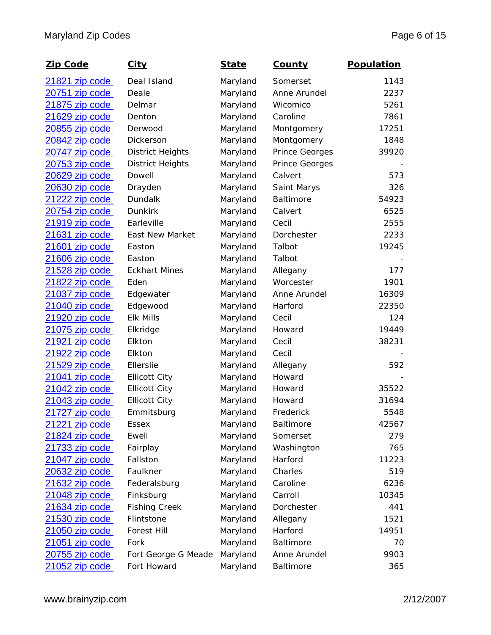| Zip Code               | <u>City</u>             | <b>State</b> | <u>County</u>  | Population |
|------------------------|-------------------------|--------------|----------------|------------|
| 21821 zip code         | Deal Island             | Maryland     | Somerset       | 1143       |
| 20751 zip code         | Deale                   | Maryland     | Anne Arundel   | 2237       |
| 21875 zip code         | Delmar                  | Maryland     | Wicomico       | 5261       |
| 21629 zip code         | Denton                  | Maryland     | Caroline       | 7861       |
| 20855 zip code         | Derwood                 | Maryland     | Montgomery     | 17251      |
| 20842 zip code         | Dickerson               | Maryland     | Montgomery     | 1848       |
| 20747 zip code         | <b>District Heights</b> | Maryland     | Prince Georges | 39920      |
| <u>20753 zip code</u>  | <b>District Heights</b> | Maryland     | Prince Georges |            |
| 20629 zip code         | Dowell                  | Maryland     | Calvert        | 573        |
| <u>20630 zip code</u>  | Drayden                 | Maryland     | Saint Marys    | 326        |
| 21222 zip code         | Dundalk                 | Maryland     | Baltimore      | 54923      |
| 20754 zip code         | Dunkirk                 | Maryland     | Calvert        | 6525       |
| 21919 zip code         | Earleville              | Maryland     | Cecil          | 2555       |
| 21631 zip code         | <b>East New Market</b>  | Maryland     | Dorchester     | 2233       |
| 21601 zip code         | Easton                  | Maryland     | Talbot         | 19245      |
| 21606 zip code         | Easton                  | Maryland     | Talbot         |            |
| 21528 zip code         | <b>Eckhart Mines</b>    | Maryland     | Allegany       | 177        |
| 21822 zip code         | Eden                    | Maryland     | Worcester      | 1901       |
| 21037 zip code         | Edgewater               | Maryland     | Anne Arundel   | 16309      |
| 21040 zip code         | Edgewood                | Maryland     | Harford        | 22350      |
| 21920 zip code         | <b>Elk Mills</b>        | Maryland     | Cecil          | 124        |
| <u>21075 zip code</u>  | Elkridge                | Maryland     | Howard         | 19449      |
| 21921 zip code         | Elkton                  | Maryland     | Cecil          | 38231      |
| 21922 zip code         | Elkton                  | Maryland     | Cecil          |            |
| 21529 zip code         | Ellerslie               | Maryland     | Allegany       | 592        |
| 21041 zip code         | <b>Ellicott City</b>    | Maryland     | Howard         |            |
| 21042 zip code         | <b>Ellicott City</b>    | Maryland     | Howard         | 35522      |
| 21043 zip code         | <b>Ellicott City</b>    | Maryland     | Howard         | 31694      |
| 21727 zip code         | Emmitsburg              | Maryland     | Frederick      | 5548       |
| <u>21221 zip code</u>  | Essex                   | Maryland     | Baltimore      | 42567      |
| 21824 zip code         | Ewell                   | Maryland     | Somerset       | 279        |
| 21733 zip code         | Fairplay                | Maryland     | Washington     | 765        |
| <u>21047 zip code</u>  | Fallston                | Maryland     | Harford        | 11223      |
| <u>20632 zip code </u> | Faulkner                | Maryland     | Charles        | 519        |
| 21632 zip code         | Federalsburg            | Maryland     | Caroline       | 6236       |
| <u>21048 zip code</u>  | Finksburg               | Maryland     | Carroll        | 10345      |
| 21634 zip code         | <b>Fishing Creek</b>    | Maryland     | Dorchester     | 441        |
| 21530 zip code         | Flintstone              | Maryland     | Allegany       | 1521       |
| 21050 zip code         | Forest Hill             | Maryland     | Harford        | 14951      |
| 21051 zip code         | Fork                    | Maryland     | Baltimore      | 70         |
| 20755 zip code         | Fort George G Meade     | Maryland     | Anne Arundel   | 9903       |
| 21052 zip code         | Fort Howard             | Maryland     | Baltimore      | 365        |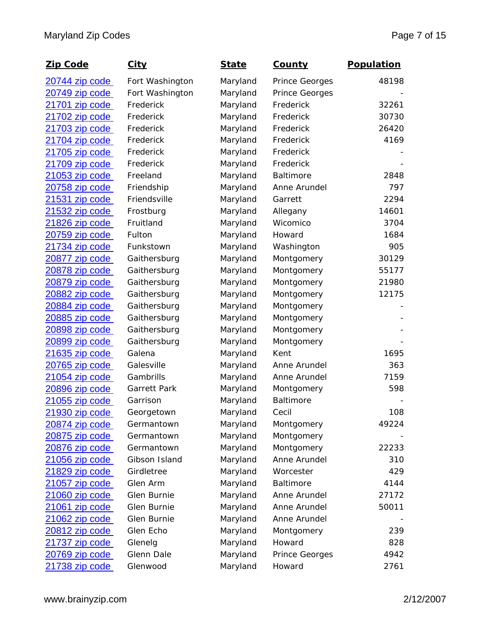| <b>Zip Code</b>        | <u>City</u>         | <b>State</b> | <b>County</b>  | <b>Population</b> |
|------------------------|---------------------|--------------|----------------|-------------------|
| 20744 zip code         | Fort Washington     | Maryland     | Prince Georges | 48198             |
| 20749 zip code         | Fort Washington     | Maryland     | Prince Georges |                   |
| 21701 zip code         | Frederick           | Maryland     | Frederick      | 32261             |
| 21702 zip code         | Frederick           | Maryland     | Frederick      | 30730             |
| 21703 zip code         | Frederick           | Maryland     | Frederick      | 26420             |
| 21704 zip code         | Frederick           | Maryland     | Frederick      | 4169              |
| 21705 zip code         | Frederick           | Maryland     | Frederick      |                   |
| 21709 zip code         | Frederick           | Maryland     | Frederick      |                   |
| 21053 zip code         | Freeland            | Maryland     | Baltimore      | 2848              |
| 20758 zip code         | Friendship          | Maryland     | Anne Arundel   | 797               |
| 21531 zip code         | Friendsville        | Maryland     | Garrett        | 2294              |
| 21532 zip code         | Frostburg           | Maryland     | Allegany       | 14601             |
| 21826 zip code         | Fruitland           | Maryland     | Wicomico       | 3704              |
| 20759 zip code         | Fulton              | Maryland     | Howard         | 1684              |
| 21734 zip code         | Funkstown           | Maryland     | Washington     | 905               |
| 20877 zip code         | Gaithersburg        | Maryland     | Montgomery     | 30129             |
| 20878 zip code         | Gaithersburg        | Maryland     | Montgomery     | 55177             |
| 20879 zip code         | Gaithersburg        | Maryland     | Montgomery     | 21980             |
| 20882 zip code         | Gaithersburg        | Maryland     | Montgomery     | 12175             |
| 20884 zip code         | Gaithersburg        | Maryland     | Montgomery     |                   |
| <u>20885 zip code</u>  | Gaithersburg        | Maryland     | Montgomery     |                   |
| <u>20898 zip code</u>  | Gaithersburg        | Maryland     | Montgomery     |                   |
| 20899 zip code         | Gaithersburg        | Maryland     | Montgomery     |                   |
| 21635 zip code         | Galena              | Maryland     | Kent           | 1695              |
| 20765 zip code         | Galesville          | Maryland     | Anne Arundel   | 363               |
| 21054 zip code         | Gambrills           | Maryland     | Anne Arundel   | 7159              |
| 20896 zip code         | <b>Garrett Park</b> | Maryland     | Montgomery     | 598               |
| 21055 zip code         | Garrison            | Maryland     | Baltimore      |                   |
| 21930 zip code         | Georgetown          | Maryland     | Cecil          | 108               |
| <u>20874 zip code </u> | Germantown          | Maryland     | Montgomery     | 49224             |
| 20875 zip code         | Germantown          | Maryland     | Montgomery     |                   |
| <u>20876 zip code</u>  | Germantown          | Maryland     | Montgomery     | 22233             |
| 21056 zip code         | Gibson Island       | Maryland     | Anne Arundel   | 310               |
| <u>21829 zip code</u>  | Girdletree          | Maryland     | Worcester      | 429               |
| 21057 zip code         | Glen Arm            | Maryland     | Baltimore      | 4144              |
| <u>21060 zip code </u> | Glen Burnie         | Maryland     | Anne Arundel   | 27172             |
| 21061 zip code         | Glen Burnie         | Maryland     | Anne Arundel   | 50011             |
| 21062 zip code         | Glen Burnie         | Maryland     | Anne Arundel   |                   |
| 20812 zip code         | Glen Echo           | Maryland     | Montgomery     | 239               |
| <u>21737 zip code</u>  | Glenelg             | Maryland     | Howard         | 828               |
| <u>20769 zip code</u>  | Glenn Dale          | Maryland     | Prince Georges | 4942              |
| <u>21738 zip code </u> | Glenwood            | Maryland     | Howard         | 2761              |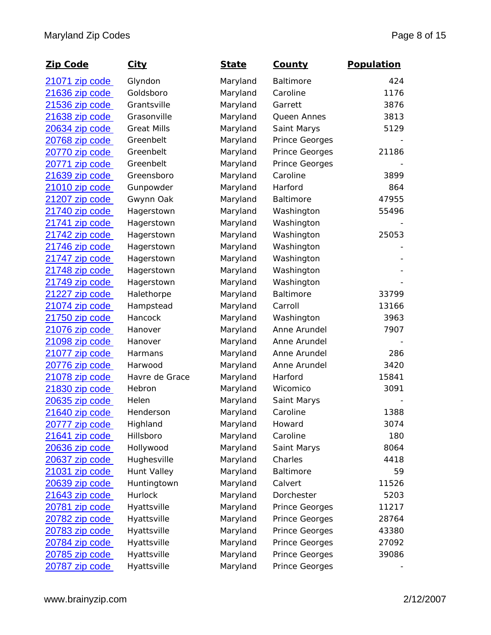| <u>Zip Code</u>        | <u>City</u>        | <b>State</b> | <b>County</b>    | Population |
|------------------------|--------------------|--------------|------------------|------------|
| 21071 zip code         | Glyndon            | Maryland     | Baltimore        | 424        |
| 21636 zip code         | Goldsboro          | Maryland     | Caroline         | 1176       |
| 21536 zip code         | Grantsville        | Maryland     | Garrett          | 3876       |
| 21638 zip code         | Grasonville        | Maryland     | Queen Annes      | 3813       |
| 20634 zip code         | <b>Great Mills</b> | Maryland     | Saint Marys      | 5129       |
| 20768 zip code         | Greenbelt          | Maryland     | Prince Georges   |            |
| 20770 zip code         | Greenbelt          | Maryland     | Prince Georges   | 21186      |
| 20771 zip code         | Greenbelt          | Maryland     | Prince Georges   |            |
| 21639 zip code         | Greensboro         | Maryland     | Caroline         | 3899       |
| 21010 zip code         | Gunpowder          | Maryland     | Harford          | 864        |
| 21207 zip code         | Gwynn Oak          | Maryland     | <b>Baltimore</b> | 47955      |
| 21740 zip code         | Hagerstown         | Maryland     | Washington       | 55496      |
| 21741 zip code         | Hagerstown         | Maryland     | Washington       |            |
| <u>21742 zip code</u>  | Hagerstown         | Maryland     | Washington       | 25053      |
| 21746 zip code         | Hagerstown         | Maryland     | Washington       |            |
| 21747 zip code         | Hagerstown         | Maryland     | Washington       |            |
| 21748 zip code         | Hagerstown         | Maryland     | Washington       |            |
| <u>21749 zip code</u>  | Hagerstown         | Maryland     | Washington       |            |
| 21227 zip code         | Halethorpe         | Maryland     | Baltimore        | 33799      |
| 21074 zip code         | Hampstead          | Maryland     | Carroll          | 13166      |
| 21750 zip code         | Hancock            | Maryland     | Washington       | 3963       |
| 21076 zip code         | Hanover            | Maryland     | Anne Arundel     | 7907       |
| 21098 zip code         | Hanover            | Maryland     | Anne Arundel     |            |
| 21077 zip code         | Harmans            | Maryland     | Anne Arundel     | 286        |
| 20776 zip code         | Harwood            | Maryland     | Anne Arundel     | 3420       |
| 21078 zip code         | Havre de Grace     | Maryland     | Harford          | 15841      |
| 21830 zip code         | Hebron             | Maryland     | Wicomico         | 3091       |
| <u>20635 zip code </u> | Helen              | Maryland     | Saint Marys      |            |
| 21640 zip code         | Henderson          | Maryland     | Caroline         | 1388       |
| <u>20777 zip code </u> | Highland           | Maryland     | Howard           | 3074       |
| 21641 zip code         | Hillsboro          | Maryland     | Caroline         | 180        |
| 20636 zip code         | Hollywood          | Maryland     | Saint Marys      | 8064       |
| 20637 zip code         | Hughesville        | Maryland     | Charles          | 4418       |
| 21031 zip code         | Hunt Valley        | Maryland     | Baltimore        | 59         |
| 20639 zip code         | Huntingtown        | Maryland     | Calvert          | 11526      |
| 21643 zip code         | Hurlock            | Maryland     | Dorchester       | 5203       |
| 20781 zip code         | Hyattsville        | Maryland     | Prince Georges   | 11217      |
| 20782 zip code         | Hyattsville        | Maryland     | Prince Georges   | 28764      |
| <u>20783 zip code</u>  | Hyattsville        | Maryland     | Prince Georges   | 43380      |
| <u>20784 zip code</u>  | Hyattsville        | Maryland     | Prince Georges   | 27092      |
| <u>20785 zip code </u> | Hyattsville        | Maryland     | Prince Georges   | 39086      |
| 20787 zip code         | Hyattsville        | Maryland     | Prince Georges   |            |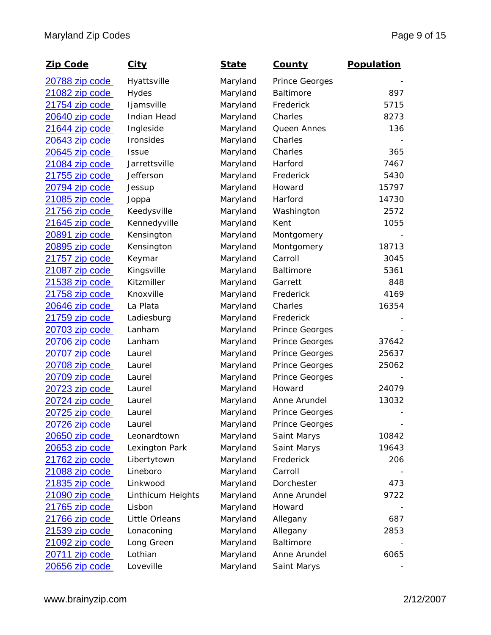| Zip Code               | City               | <b>State</b> | <u>County</u>         | Population |
|------------------------|--------------------|--------------|-----------------------|------------|
| <u>20788 zip code </u> | Hyattsville        | Maryland     | Prince Georges        |            |
| 21082 zip code         | Hydes              | Maryland     | Baltimore             | 897        |
| 21754 zip code         | ljamsville         | Maryland     | Frederick             | 5715       |
| 20640 zip code         | <b>Indian Head</b> | Maryland     | Charles               | 8273       |
| 21644 zip code         | Ingleside          | Maryland     | Queen Annes           | 136        |
| 20643 zip code         | Ironsides          | Maryland     | Charles               |            |
| 20645 zip code         | Issue              | Maryland     | Charles               | 365        |
| 21084 zip code         | Jarrettsville      | Maryland     | Harford               | 7467       |
| 21755 zip code         | Jefferson          | Maryland     | Frederick             | 5430       |
| 20794 zip code         | Jessup             | Maryland     | Howard                | 15797      |
| 21085 zip code         | Joppa              | Maryland     | Harford               | 14730      |
| 21756 zip code         | Keedysville        | Maryland     | Washington            | 2572       |
| 21645 zip code         | Kennedyville       | Maryland     | Kent                  | 1055       |
| 20891 zip code         | Kensington         | Maryland     | Montgomery            |            |
| 20895 zip code         | Kensington         | Maryland     | Montgomery            | 18713      |
| <u>21757 zip code</u>  | Keymar             | Maryland     | Carroll               | 3045       |
| 21087 zip code         | Kingsville         | Maryland     | Baltimore             | 5361       |
| 21538 zip code         | Kitzmiller         | Maryland     | Garrett               | 848        |
| 21758 zip code         | Knoxville          | Maryland     | Frederick             | 4169       |
| 20646 zip code         | La Plata           | Maryland     | Charles               | 16354      |
| 21759 zip code         | Ladiesburg         | Maryland     | Frederick             |            |
| 20703 zip code         | Lanham             | Maryland     | Prince Georges        |            |
| 20706 zip code         | Lanham             | Maryland     | Prince Georges        | 37642      |
| 20707 zip code         | Laurel             | Maryland     | Prince Georges        | 25637      |
| 20708 zip code         | Laurel             | Maryland     | Prince Georges        | 25062      |
| 20709 zip code         | Laurel             | Maryland     | Prince Georges        |            |
| 20723 zip code         | Laurel             | Maryland     | Howard                | 24079      |
| 20724 zip code         | Laurel             | Maryland     | Anne Arundel          | 13032      |
| 20725 zip code         | Laurel             | Maryland     | <b>Prince Georges</b> |            |
| 20726 zip code         | Laurel             | Maryland     | Prince Georges        |            |
| 20650 zip code         | Leonardtown        | Maryland     | Saint Marys           | 10842      |
| 20653 zip code         | Lexington Park     | Maryland     | Saint Marys           | 19643      |
| 21762 zip code         | Libertytown        | Maryland     | Frederick             | 206        |
| 21088 zip code         | Lineboro           | Maryland     | Carroll               |            |
| 21835 zip code         | Linkwood           | Maryland     | Dorchester            | 473        |
| <u>21090 zip code</u>  | Linthicum Heights  | Maryland     | Anne Arundel          | 9722       |
| 21765 zip code         | Lisbon             | Maryland     | Howard                |            |
| <u>21766 zip code</u>  | Little Orleans     | Maryland     | Allegany              | 687        |
| 21539 zip code         | Lonaconing         | Maryland     | Allegany              | 2853       |
| 21092 zip code         | Long Green         | Maryland     | Baltimore             |            |
| 20711 zip code         | Lothian            | Maryland     | Anne Arundel          | 6065       |
| 20656 zip code         | Loveville          | Maryland     | Saint Marys           |            |
|                        |                    |              |                       |            |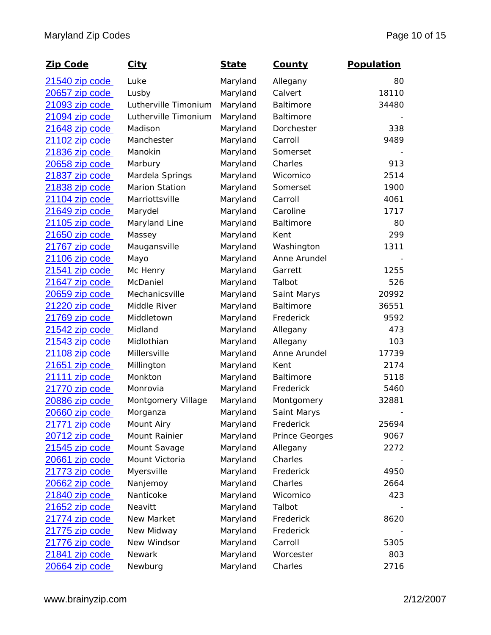| <b>Zip Code</b>        | <u>City</u>           | <b>State</b> | <u>County</u>    | Population |
|------------------------|-----------------------|--------------|------------------|------------|
| 21540 zip code         | Luke                  | Maryland     | Allegany         | 80         |
| 20657 zip code         | Lusby                 | Maryland     | Calvert          | 18110      |
| 21093 zip code         | Lutherville Timonium  | Maryland     | Baltimore        | 34480      |
| 21094 zip code         | Lutherville Timonium  | Maryland     | Baltimore        |            |
| <u>21648 zip code</u>  | Madison               | Maryland     | Dorchester       | 338        |
| 21102 zip code         | Manchester            | Maryland     | Carroll          | 9489       |
| 21836 zip code         | Manokin               | Maryland     | Somerset         |            |
| 20658 zip code         | Marbury               | Maryland     | Charles          | 913        |
| 21837 zip code         | Mardela Springs       | Maryland     | Wicomico         | 2514       |
| <u>21838 zip code</u>  | <b>Marion Station</b> | Maryland     | Somerset         | 1900       |
| 21104 zip code         | Marriottsville        | Maryland     | Carroll          | 4061       |
| 21649 zip code         | Marydel               | Maryland     | Caroline         | 1717       |
| 21105 zip code         | Maryland Line         | Maryland     | Baltimore        | 80         |
| 21650 zip code         | Massey                | Maryland     | Kent             | 299        |
| 21767 zip code         | Maugansville          | Maryland     | Washington       | 1311       |
| 21106 zip code         | Mayo                  | Maryland     | Anne Arundel     |            |
| 21541 zip code         | Mc Henry              | Maryland     | Garrett          | 1255       |
| 21647 zip code         | McDaniel              | Maryland     | Talbot           | 526        |
| 20659 zip code         | Mechanicsville        | Maryland     | Saint Marys      | 20992      |
| 21220 zip code         | Middle River          | Maryland     | <b>Baltimore</b> | 36551      |
| 21769 zip code         | Middletown            | Maryland     | Frederick        | 9592       |
| 21542 zip code         | Midland               | Maryland     | Allegany         | 473        |
| 21543 zip code         | Midlothian            | Maryland     | Allegany         | 103        |
| 21108 zip code         | Millersville          | Maryland     | Anne Arundel     | 17739      |
| 21651 zip code         | Millington            | Maryland     | Kent             | 2174       |
| 21111 zip code         | Monkton               | Maryland     | Baltimore        | 5118       |
| 21770 zip code         | Monrovia              | Maryland     | Frederick        | 5460       |
| 20886 zip code         | Montgomery Village    | Maryland     | Montgomery       | 32881      |
| 20660 zip code         | Morganza              | Maryland     | Saint Marys      |            |
| <u>21771 zip code</u>  | Mount Airy            | Maryland     | Frederick        | 25694      |
| 20712 zip code         | Mount Rainier         | Maryland     | Prince Georges   | 9067       |
| <u>21545 zip code</u>  | Mount Savage          | Maryland     | Allegany         | 2272       |
| 20661 zip code         | Mount Victoria        | Maryland     | Charles          |            |
| 21773 zip code         | Myersville            | Maryland     | Frederick        | 4950       |
| 20662 zip code         | Nanjemoy              | Maryland     | Charles          | 2664       |
| <u>21840 zip code </u> | Nanticoke             | Maryland     | Wicomico         | 423        |
| <u>21652 zip code</u>  | Neavitt               | Maryland     | Talbot           |            |
| <u>21774 zip code </u> | New Market            | Maryland     | Frederick        | 8620       |
| <u>21775 zip code</u>  | New Midway            | Maryland     | Frederick        |            |
| 21776 zip code         | New Windsor           | Maryland     | Carroll          | 5305       |
| 21841 zip code         | Newark                | Maryland     | Worcester        | 803        |
| 20664 zip code         | Newburg               | Maryland     | Charles          | 2716       |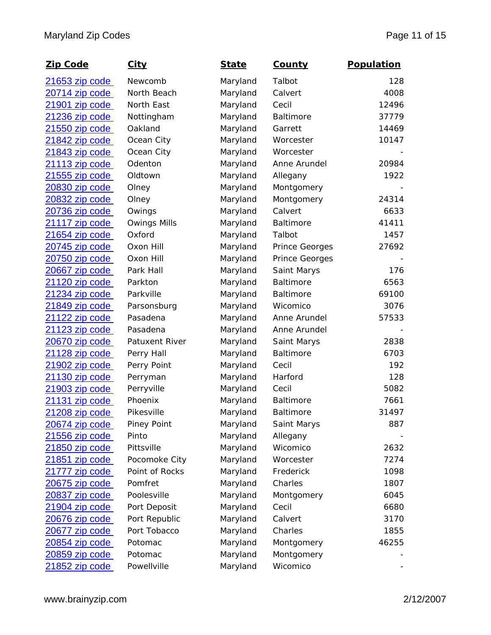| <u>Zip Code</u>        | <b>City</b>         | <b>State</b> | <u>County</u>    | <b>Population</b> |
|------------------------|---------------------|--------------|------------------|-------------------|
| 21653 zip code         | Newcomb             | Maryland     | Talbot           | 128               |
| 20714 zip code         | North Beach         | Maryland     | Calvert          | 4008              |
| 21901 zip code         | North East          | Maryland     | Cecil            | 12496             |
| 21236 zip code         | Nottingham          | Maryland     | Baltimore        | 37779             |
| 21550 zip code         | Oakland             | Maryland     | Garrett          | 14469             |
| 21842 zip code         | Ocean City          | Maryland     | Worcester        | 10147             |
| 21843 zip code         | Ocean City          | Maryland     | Worcester        |                   |
| 21113 zip code         | Odenton             | Maryland     | Anne Arundel     | 20984             |
| 21555 zip code         | Oldtown             | Maryland     | Allegany         | 1922              |
| 20830 zip code         | Olney               | Maryland     | Montgomery       |                   |
| <u>20832 zip code</u>  | Olney               | Maryland     | Montgomery       | 24314             |
| 20736 zip code         | Owings              | Maryland     | Calvert          | 6633              |
| 21117 zip code         | <b>Owings Mills</b> | Maryland     | <b>Baltimore</b> | 41411             |
| <u>21654 zip code</u>  | Oxford              | Maryland     | Talbot           | 1457              |
| 20745 zip code         | Oxon Hill           | Maryland     | Prince Georges   | 27692             |
| 20750 zip code         | Oxon Hill           | Maryland     | Prince Georges   |                   |
| 20667 zip code         | Park Hall           | Maryland     | Saint Marys      | 176               |
| 21120 zip code         | Parkton             | Maryland     | Baltimore        | 6563              |
| 21234 zip code         | Parkville           | Maryland     | Baltimore        | 69100             |
| 21849 zip code         | Parsonsburg         | Maryland     | Wicomico         | 3076              |
| 21122 zip code         | Pasadena            | Maryland     | Anne Arundel     | 57533             |
| 21123 zip code         | Pasadena            | Maryland     | Anne Arundel     |                   |
| 20670 zip code         | Patuxent River      | Maryland     | Saint Marys      | 2838              |
| 21128 zip code         | Perry Hall          | Maryland     | Baltimore        | 6703              |
| 21902 zip code         | Perry Point         | Maryland     | Cecil            | 192               |
| 21130 zip code         | Perryman            | Maryland     | Harford          | 128               |
| 21903 zip code         | Perryville          | Maryland     | Cecil            | 5082              |
| 21131 zip code         | Phoenix             | Maryland     | Baltimore        | 7661              |
| 21208 zip code         | Pikesville          | Maryland     | Baltimore        | 31497             |
| <u>20674 zip code </u> | <b>Piney Point</b>  | Maryland     | Saint Marys      | 887               |
| 21556 zip code         | Pinto               | Maryland     | Allegany         |                   |
| 21850 zip code         | Pittsville          | Maryland     | Wicomico         | 2632              |
| <u>21851 zip code</u>  | Pocomoke City       | Maryland     | Worcester        | 7274              |
| 21777 zip code         | Point of Rocks      | Maryland     | Frederick        | 1098              |
| 20675 zip code         | Pomfret             | Maryland     | Charles          | 1807              |
| 20837 zip code         | Poolesville         | Maryland     | Montgomery       | 6045              |
| 21904 zip code         | Port Deposit        | Maryland     | Cecil            | 6680              |
| <u>20676 zip code </u> | Port Republic       | Maryland     | Calvert          | 3170              |
| <u>20677 zip code</u>  | Port Tobacco        | Maryland     | Charles          | 1855              |
| <u>20854 zip code</u>  | Potomac             | Maryland     | Montgomery       | 46255             |
| <u>20859 zip code </u> | Potomac             | Maryland     | Montgomery       |                   |
| 21852 zip code         | Powellville         | Maryland     | Wicomico         |                   |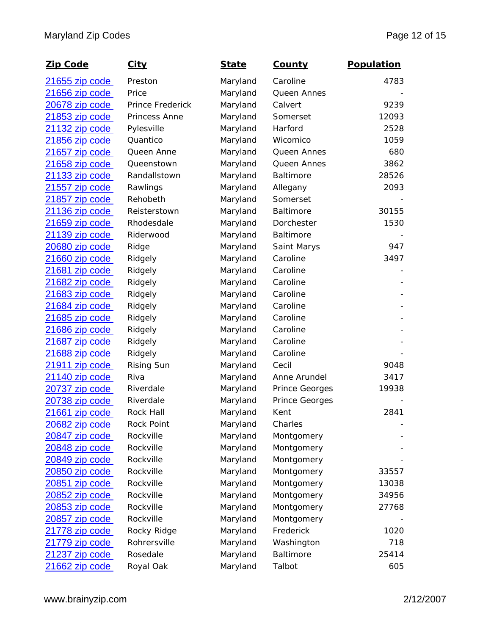| Zip Code               | <u>City</u>       | <b>State</b> | <u>County</u>  | <b>Population</b> |
|------------------------|-------------------|--------------|----------------|-------------------|
| <u>21655 zip code</u>  | Preston           | Maryland     | Caroline       | 4783              |
| 21656 zip code         | Price             | Maryland     | Queen Annes    |                   |
| 20678 zip code         | Prince Frederick  | Maryland     | Calvert        | 9239              |
| 21853 zip code         | Princess Anne     | Maryland     | Somerset       | 12093             |
| 21132 zip code         | Pylesville        | Maryland     | Harford        | 2528              |
| 21856 zip code         | Quantico          | Maryland     | Wicomico       | 1059              |
| 21657 zip code         | Queen Anne        | Maryland     | Queen Annes    | 680               |
| 21658 zip code         | Queenstown        | Maryland     | Queen Annes    | 3862              |
| 21133 zip code         | Randallstown      | Maryland     | Baltimore      | 28526             |
| 21557 zip code         | Rawlings          | Maryland     | Allegany       | 2093              |
| 21857 zip code         | Rehobeth          | Maryland     | Somerset       |                   |
| 21136 zip code         | Reisterstown      | Maryland     | Baltimore      | 30155             |
| 21659 zip code         | Rhodesdale        | Maryland     | Dorchester     | 1530              |
| 21139 zip code         | Riderwood         | Maryland     | Baltimore      |                   |
| 20680 zip code         | Ridge             | Maryland     | Saint Marys    | 947               |
| 21660 zip code         | Ridgely           | Maryland     | Caroline       | 3497              |
| 21681 zip code         | Ridgely           | Maryland     | Caroline       |                   |
| 21682 zip code         | Ridgely           | Maryland     | Caroline       |                   |
| 21683 zip code         | Ridgely           | Maryland     | Caroline       |                   |
| 21684 zip code         | Ridgely           | Maryland     | Caroline       |                   |
| 21685 zip code         | Ridgely           | Maryland     | Caroline       |                   |
| <u>21686 zip code</u>  | Ridgely           | Maryland     | Caroline       |                   |
| 21687 zip code         | Ridgely           | Maryland     | Caroline       |                   |
| 21688 zip code         | Ridgely           | Maryland     | Caroline       |                   |
| 21911 zip code         | <b>Rising Sun</b> | Maryland     | Cecil          | 9048              |
| 21140 zip code         | Riva              | Maryland     | Anne Arundel   | 3417              |
| 20737 zip code         | Riverdale         | Maryland     | Prince Georges | 19938             |
| 20738 zip code         | Riverdale         | Maryland     | Prince Georges |                   |
| 21661 zip code         | Rock Hall         | Maryland     | Kent           | 2841              |
| <u>20682 zip code </u> | Rock Point        | Maryland     | Charles        |                   |
| 20847 zip code         | Rockville         | Maryland     | Montgomery     |                   |
| 20848 zip code         | Rockville         | Maryland     | Montgomery     |                   |
| <u>20849 zip code</u>  | Rockville         | Maryland     | Montgomery     |                   |
| <u>20850 zip code</u>  | Rockville         | Maryland     | Montgomery     | 33557             |
| 20851 zip code         | Rockville         | Maryland     | Montgomery     | 13038             |
| <u>20852 zip code</u>  | Rockville         | Maryland     | Montgomery     | 34956             |
| <u>20853 zip code</u>  | Rockville         | Maryland     | Montgomery     | 27768             |
| 20857 zip code         | Rockville         | Maryland     | Montgomery     |                   |
| <u>21778 zip code </u> | Rocky Ridge       | Maryland     | Frederick      | 1020              |
| 21779 zip code         | Rohrersville      | Maryland     | Washington     | 718               |
| 21237 zip code         | Rosedale          | Maryland     | Baltimore      | 25414             |
| 21662 zip code         | Royal Oak         | Maryland     | Talbot         | 605               |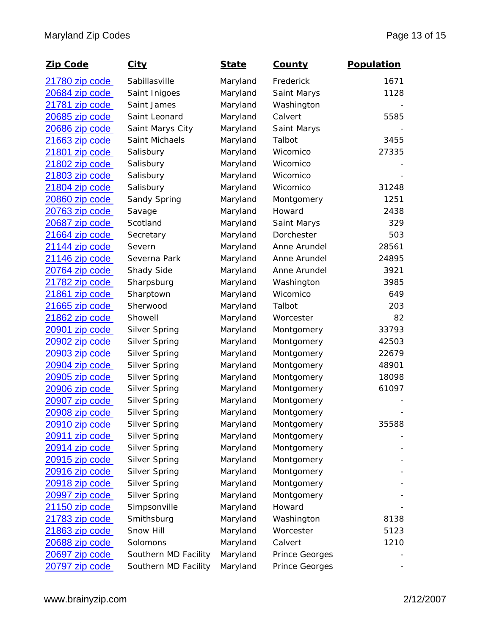| <b>Zip Code</b>        | <u>City</u>          | <b>State</b> | <b>County</b>  | <b>Population</b> |
|------------------------|----------------------|--------------|----------------|-------------------|
| 21780 zip code         | Sabillasville        | Maryland     | Frederick      | 1671              |
| 20684 zip code         | Saint Inigoes        | Maryland     | Saint Marys    | 1128              |
| 21781 zip code         | Saint James          | Maryland     | Washington     |                   |
| 20685 zip code         | Saint Leonard        | Maryland     | Calvert        | 5585              |
| 20686 zip code         | Saint Marys City     | Maryland     | Saint Marys    |                   |
| 21663 zip code         | Saint Michaels       | Maryland     | Talbot         | 3455              |
| 21801 zip code         | Salisbury            | Maryland     | Wicomico       | 27335             |
| 21802 zip code         | Salisbury            | Maryland     | Wicomico       |                   |
| 21803 zip code         | Salisbury            | Maryland     | Wicomico       |                   |
| 21804 zip code         | Salisbury            | Maryland     | Wicomico       | 31248             |
| 20860 zip code         | Sandy Spring         | Maryland     | Montgomery     | 1251              |
| 20763 zip code         | Savage               | Maryland     | Howard         | 2438              |
| 20687 zip code         | Scotland             | Maryland     | Saint Marys    | 329               |
| 21664 zip code         | Secretary            | Maryland     | Dorchester     | 503               |
| 21144 zip code         | Severn               | Maryland     | Anne Arundel   | 28561             |
| 21146 zip code         | Severna Park         | Maryland     | Anne Arundel   | 24895             |
| 20764 zip code         | <b>Shady Side</b>    | Maryland     | Anne Arundel   | 3921              |
| 21782 zip code         | Sharpsburg           | Maryland     | Washington     | 3985              |
| 21861 zip code         | Sharptown            | Maryland     | Wicomico       | 649               |
| 21665 zip code         | Sherwood             | Maryland     | Talbot         | 203               |
| 21862 zip code         | Showell              | Maryland     | Worcester      | 82                |
| <u>20901 zip code</u>  | Silver Spring        | Maryland     | Montgomery     | 33793             |
| 20902 zip code         | Silver Spring        | Maryland     | Montgomery     | 42503             |
| 20903 zip code         | Silver Spring        | Maryland     | Montgomery     | 22679             |
| 20904 zip code         | Silver Spring        | Maryland     | Montgomery     | 48901             |
| 20905 zip code         | Silver Spring        | Maryland     | Montgomery     | 18098             |
| 20906 zip code         | Silver Spring        | Maryland     | Montgomery     | 61097             |
| <u>20907 zip code</u>  | <b>Silver Spring</b> | Maryland     | Montgomery     |                   |
| 20908 zip code         | Silver Spring        | Maryland     | Montgomery     |                   |
| <u>20910 zip code</u>  | Silver Spring        | Maryland     | Montgomery     | 35588             |
| 20911 zip code         | <b>Silver Spring</b> | Maryland     | Montgomery     |                   |
| <u>20914 zip code</u>  | <b>Silver Spring</b> | Maryland     | Montgomery     |                   |
| <u>20915 zip code </u> | Silver Spring        | Maryland     | Montgomery     |                   |
| <u>20916 zip code</u>  | Silver Spring        | Maryland     | Montgomery     |                   |
| 20918 zip code         | Silver Spring        | Maryland     | Montgomery     |                   |
| <u>20997 zip code</u>  | Silver Spring        | Maryland     | Montgomery     |                   |
| 21150 zip code         | Simpsonville         | Maryland     | Howard         |                   |
| 21783 zip code         | Smithsburg           | Maryland     | Washington     | 8138              |
| <u>21863 zip code</u>  | Snow Hill            | Maryland     | Worcester      | 5123              |
| 20688 zip code         | Solomons             | Maryland     | Calvert        | 1210              |
| 20697 zip code         | Southern MD Facility | Maryland     | Prince Georges |                   |
| 20797 zip code         | Southern MD Facility | Maryland     | Prince Georges |                   |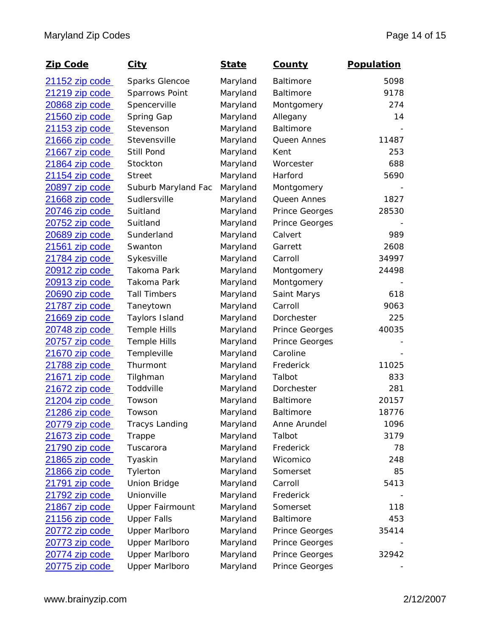| <b>Zip Code</b>        | <u>City</u>            | <u>State</u> | <u>County</u>    | <b>Population</b> |
|------------------------|------------------------|--------------|------------------|-------------------|
| 21152 zip code         | Sparks Glencoe         | Maryland     | <b>Baltimore</b> | 5098              |
| 21219 zip code         | Sparrows Point         | Maryland     | Baltimore        | 9178              |
| 20868 zip code         | Spencerville           | Maryland     | Montgomery       | 274               |
| 21560 zip code         | Spring Gap             | Maryland     | Allegany         | 14                |
| 21153 zip code         | Stevenson              | Maryland     | Baltimore        |                   |
| 21666 zip code         | Stevensville           | Maryland     | Queen Annes      | 11487             |
| 21667 zip code         | Still Pond             | Maryland     | Kent             | 253               |
| 21864 zip code         | Stockton               | Maryland     | Worcester        | 688               |
| 21154 zip code         | <b>Street</b>          | Maryland     | Harford          | 5690              |
| 20897 zip code         | Suburb Maryland Fac    | Maryland     | Montgomery       |                   |
| 21668 zip code         | Sudlersville           | Maryland     | Queen Annes      | 1827              |
| 20746 zip code         | Suitland               | Maryland     | Prince Georges   | 28530             |
| 20752 zip code         | Suitland               | Maryland     | Prince Georges   |                   |
| 20689 zip code         | Sunderland             | Maryland     | Calvert          | 989               |
| 21561 zip code         | Swanton                | Maryland     | Garrett          | 2608              |
| 21784 zip code         | Sykesville             | Maryland     | Carroll          | 34997             |
| 20912 zip code         | Takoma Park            | Maryland     | Montgomery       | 24498             |
| 20913 zip code         | Takoma Park            | Maryland     | Montgomery       |                   |
| 20690 zip code         | <b>Tall Timbers</b>    | Maryland     | Saint Marys      | 618               |
| 21787 zip code         | Taneytown              | Maryland     | Carroll          | 9063              |
| 21669 zip code         | Taylors Island         | Maryland     | Dorchester       | 225               |
| 20748 zip code         | <b>Temple Hills</b>    | Maryland     | Prince Georges   | 40035             |
| 20757 zip code         | <b>Temple Hills</b>    | Maryland     | Prince Georges   |                   |
| 21670 zip code         | Templeville            | Maryland     | Caroline         |                   |
| 21788 zip code         | Thurmont               | Maryland     | Frederick        | 11025             |
| 21671 zip code         | Tilghman               | Maryland     | Talbot           | 833               |
| 21672 zip code         | Toddville              | Maryland     | Dorchester       | 281               |
| 21204 zip code         | Towson                 | Maryland     | Baltimore        | 20157             |
| 21286 zip code         | Towson                 | Maryland     | Baltimore        | 18776             |
| <u>20779 zip code </u> | <b>Tracys Landing</b>  | Maryland     | Anne Arundel     | 1096              |
| 21673 zip code         | Trappe                 | Maryland     | Talbot           | 3179              |
| <u>21790 zip code</u>  | Tuscarora              | Maryland     | Frederick        | 78                |
| 21865 zip code         | Tyaskin                | Maryland     | Wicomico         | 248               |
| 21866 zip code         | Tylerton               | Maryland     | Somerset         | 85                |
| 21791 zip code         | <b>Union Bridge</b>    | Maryland     | Carroll          | 5413              |
| <u>21792 zip code </u> | Unionville             | Maryland     | Frederick        |                   |
| 21867 zip code         | <b>Upper Fairmount</b> | Maryland     | Somerset         | 118               |
| 21156 zip code         | <b>Upper Falls</b>     | Maryland     | <b>Baltimore</b> | 453               |
| <u>20772 zip code</u>  | <b>Upper Marlboro</b>  | Maryland     | Prince Georges   | 35414             |
| 20773 zip code         | <b>Upper Marlboro</b>  | Maryland     | Prince Georges   |                   |
| <u>20774 zip code </u> | <b>Upper Marlboro</b>  | Maryland     | Prince Georges   | 32942             |
| 20775 zip code         | <b>Upper Marlboro</b>  | Maryland     | Prince Georges   |                   |